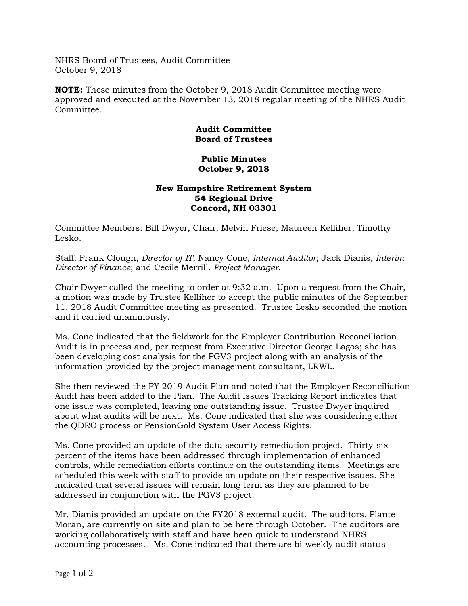NHRS Board of Trustees, Audit Committee October 9, 2018

**NOTE:** These minutes from the October 9, 2018 Audit Committee meeting were approved and executed at the November 13, 2018 regular meeting of the NHRS Audit Committee.

## **Audit Committee Board of Trustees**

## **Public Minutes October 9, 2018**

## **New Hampshire Retirement System 54 Regional Drive Concord, NH 03301**

Committee Members: Bill Dwyer, Chair; Melvin Friese; Maureen Kelliher; Timothy Lesko.

Staff: Frank Clough, *Director of IT*; Nancy Cone, *Internal Auditor*; Jack Dianis, *Interim Director of Finance*; and Cecile Merrill, *Project Manager*.

Chair Dwyer called the meeting to order at 9:32 a.m. Upon a request from the Chair, a motion was made by Trustee Kelliher to accept the public minutes of the September 11, 2018 Audit Committee meeting as presented. Trustee Lesko seconded the motion and it carried unanimously.

Ms. Cone indicated that the fieldwork for the Employer Contribution Reconciliation Audit is in process and, per request from Executive Director George Lagos; she has been developing cost analysis for the PGV3 project along with an analysis of the information provided by the project management consultant, LRWL.

She then reviewed the FY 2019 Audit Plan and noted that the Employer Reconciliation Audit has been added to the Plan. The Audit Issues Tracking Report indicates that one issue was completed, leaving one outstanding issue. Trustee Dwyer inquired about what audits will be next. Ms. Cone indicated that she was considering either the QDRO process or PensionGold System User Access Rights.

Ms. Cone provided an update of the data security remediation project. Thirty-six percent of the items have been addressed through implementation of enhanced controls, while remediation efforts continue on the outstanding items. Meetings are scheduled this week with staff to provide an update on their respective issues. She indicated that several issues will remain long term as they are planned to be addressed in conjunction with the PGV3 project.

Mr. Dianis provided an update on the FY2018 external audit. The auditors, Plante Moran, are currently on site and plan to be here through October. The auditors are working collaboratively with staff and have been quick to understand NHRS accounting processes. Ms. Cone indicated that there are bi-weekly audit status